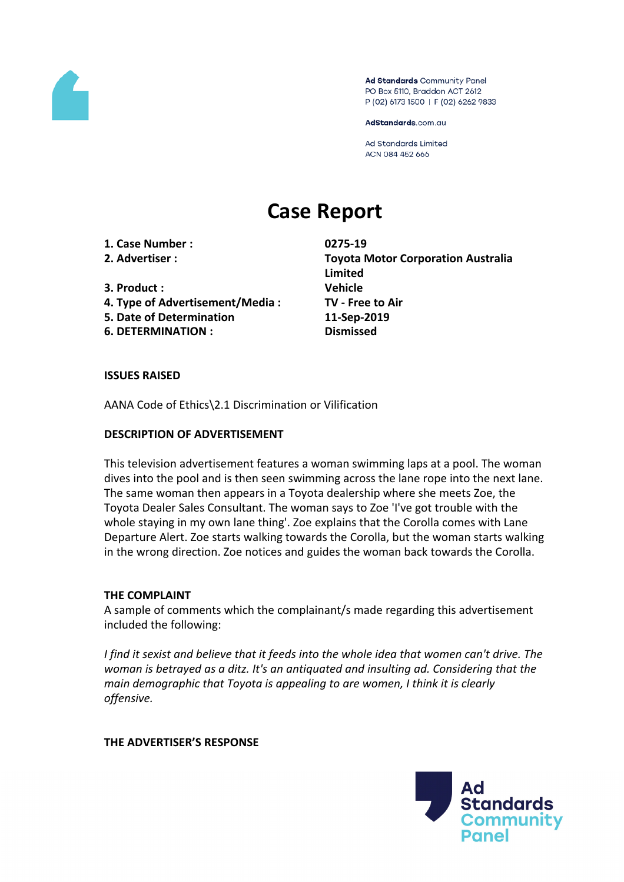

Ad Standards Community Panel PO Box 5110, Braddon ACT 2612 P (02) 6173 1500 | F (02) 6262 9833

AdStandards.com.au

Ad Standards Limited ACN 084 452 666

# **Case Report**

**1. Case Number : 0275-19**

- 
- **3. Product : Vehicle**
- **4. Type of Advertisement/Media : TV - Free to Air**
- **5. Date of Determination 11-Sep-2019**
- **6. DETERMINATION : Dismissed**

**2. Advertiser : Toyota Motor Corporation Australia Limited**

### **ISSUES RAISED**

AANA Code of Ethics\2.1 Discrimination or Vilification

### **DESCRIPTION OF ADVERTISEMENT**

This television advertisement features a woman swimming laps at a pool. The woman dives into the pool and is then seen swimming across the lane rope into the next lane. The same woman then appears in a Toyota dealership where she meets Zoe, the Toyota Dealer Sales Consultant. The woman says to Zoe 'I've got trouble with the whole staying in my own lane thing'. Zoe explains that the Corolla comes with Lane Departure Alert. Zoe starts walking towards the Corolla, but the woman starts walking in the wrong direction. Zoe notices and guides the woman back towards the Corolla.

### **THE COMPLAINT**

A sample of comments which the complainant/s made regarding this advertisement included the following:

*I find it sexist and believe that it feeds into the whole idea that women can't drive. The woman is betrayed as a ditz. It's an antiquated and insulting ad. Considering that the main demographic that Toyota is appealing to are women, I think it is clearly offensive.*

### **THE ADVERTISER'S RESPONSE**

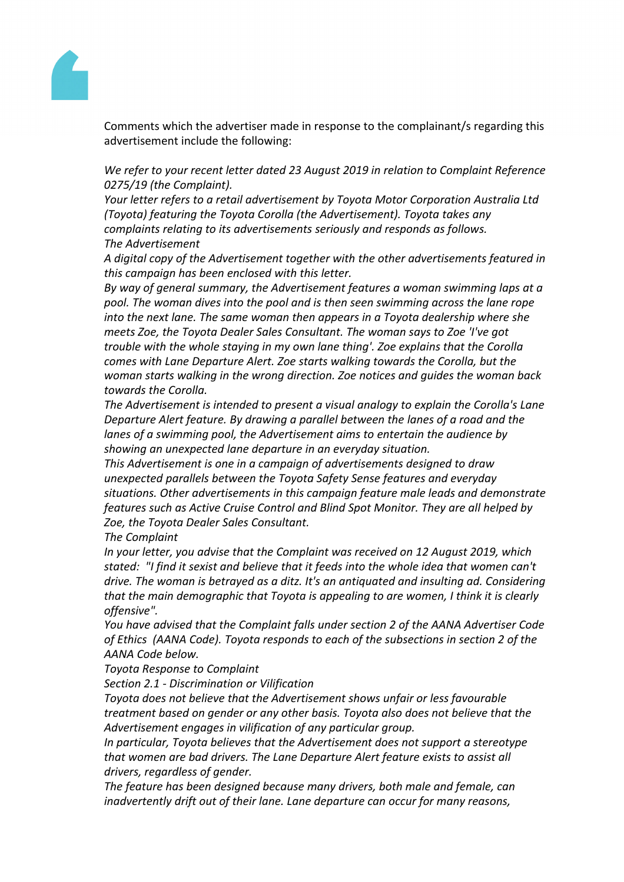

Comments which the advertiser made in response to the complainant/s regarding this advertisement include the following:

*We refer to your recent letter dated 23 August 2019 in relation to Complaint Reference 0275/19 (the Complaint).*

*Your letter refers to a retail advertisement by Toyota Motor Corporation Australia Ltd (Toyota) featuring the Toyota Corolla (the Advertisement). Toyota takes any complaints relating to its advertisements seriously and responds as follows. The Advertisement*

*A digital copy of the Advertisement together with the other advertisements featured in this campaign has been enclosed with this letter.*

*By way of general summary, the Advertisement features a woman swimming laps at a pool. The woman dives into the pool and is then seen swimming across the lane rope into the next lane. The same woman then appears in a Toyota dealership where she meets Zoe, the Toyota Dealer Sales Consultant. The woman says to Zoe 'I've got trouble with the whole staying in my own lane thing'. Zoe explains that the Corolla comes with Lane Departure Alert. Zoe starts walking towards the Corolla, but the woman starts walking in the wrong direction. Zoe notices and guides the woman back towards the Corolla.*

*The Advertisement is intended to present a visual analogy to explain the Corolla's Lane Departure Alert feature. By drawing a parallel between the lanes of a road and the lanes of a swimming pool, the Advertisement aims to entertain the audience by showing an unexpected lane departure in an everyday situation.*

*This Advertisement is one in a campaign of advertisements designed to draw unexpected parallels between the Toyota Safety Sense features and everyday situations. Other advertisements in this campaign feature male leads and demonstrate features such as Active Cruise Control and Blind Spot Monitor. They are all helped by Zoe, the Toyota Dealer Sales Consultant.*

*The Complaint*

*In your letter, you advise that the Complaint was received on 12 August 2019, which stated: "I find it sexist and believe that it feeds into the whole idea that women can't drive. The woman is betrayed as a ditz. It's an antiquated and insulting ad. Considering that the main demographic that Toyota is appealing to are women, I think it is clearly offensive".*

*You have advised that the Complaint falls under section 2 of the AANA Advertiser Code of Ethics (AANA Code). Toyota responds to each of the subsections in section 2 of the AANA Code below.* 

### *Toyota Response to Complaint*

*Section 2.1 - Discrimination or Vilification*

*Toyota does not believe that the Advertisement shows unfair or less favourable treatment based on gender or any other basis. Toyota also does not believe that the Advertisement engages in vilification of any particular group.*

*In particular, Toyota believes that the Advertisement does not support a stereotype that women are bad drivers. The Lane Departure Alert feature exists to assist all drivers, regardless of gender.*

*The feature has been designed because many drivers, both male and female, can inadvertently drift out of their lane. Lane departure can occur for many reasons,*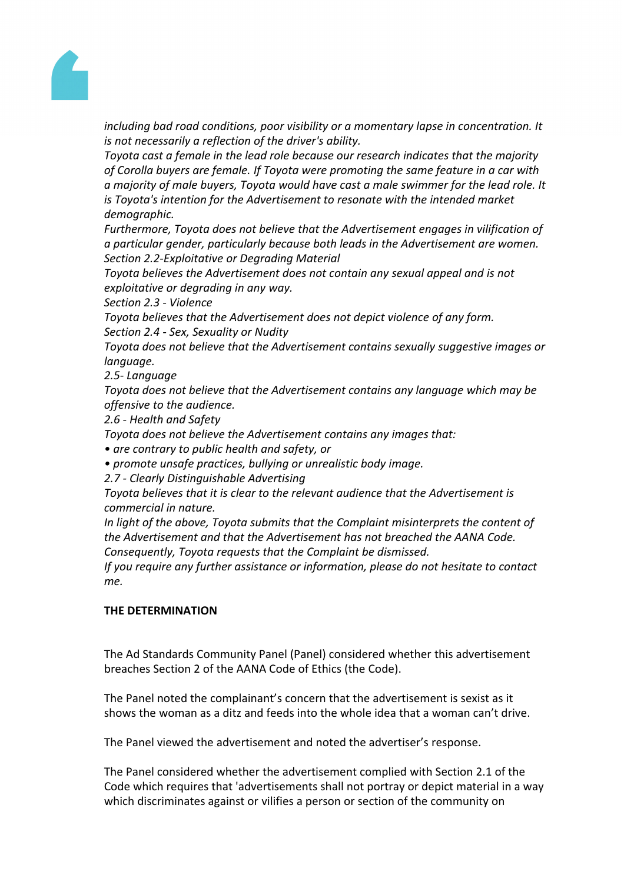

*including bad road conditions, poor visibility or a momentary lapse in concentration. It is not necessarily a reflection of the driver's ability.*

*Toyota cast a female in the lead role because our research indicates that the majority of Corolla buyers are female. If Toyota were promoting the same feature in a car with a majority of male buyers, Toyota would have cast a male swimmer for the lead role. It is Toyota's intention for the Advertisement to resonate with the intended market demographic.*

*Furthermore, Toyota does not believe that the Advertisement engages in vilification of a particular gender, particularly because both leads in the Advertisement are women. Section 2.2-Exploitative or Degrading Material*

*Toyota believes the Advertisement does not contain any sexual appeal and is not exploitative or degrading in any way.*

*Section 2.3 - Violence*

*Toyota believes that the Advertisement does not depict violence of any form.*

*Section 2.4 - Sex, Sexuality or Nudity*

*Toyota does not believe that the Advertisement contains sexually suggestive images or language.*

*2.5- Language*

*Toyota does not believe that the Advertisement contains any language which may be offensive to the audience.*

*2.6 - Health and Safety*

*Toyota does not believe the Advertisement contains any images that:*

*• are contrary to public health and safety, or*

*• promote unsafe practices, bullying or unrealistic body image.*

*2.7 - Clearly Distinguishable Advertising*

*Toyota believes that it is clear to the relevant audience that the Advertisement is commercial in nature.*

*In light of the above, Toyota submits that the Complaint misinterprets the content of the Advertisement and that the Advertisement has not breached the AANA Code. Consequently, Toyota requests that the Complaint be dismissed.*

*If you require any further assistance or information, please do not hesitate to contact me.*

## **THE DETERMINATION**

The Ad Standards Community Panel (Panel) considered whether this advertisement breaches Section 2 of the AANA Code of Ethics (the Code).

The Panel noted the complainant's concern that the advertisement is sexist as it shows the woman as a ditz and feeds into the whole idea that a woman can't drive.

The Panel viewed the advertisement and noted the advertiser's response.

The Panel considered whether the advertisement complied with Section 2.1 of the Code which requires that 'advertisements shall not portray or depict material in a way which discriminates against or vilifies a person or section of the community on